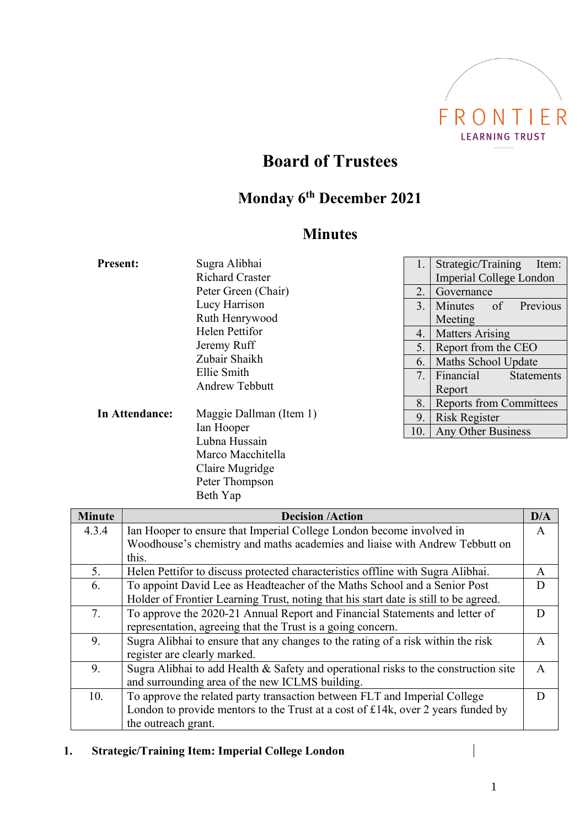

# **Board of Trustees**

# **Monday 6 th December 2021**

# **Minutes**

| <b>Present:</b> | Sugra Alibhai<br><b>Richard Craster</b><br>Peter Green (Chair)<br>Lucy Harrison<br>Ruth Henrywood<br><b>Helen Pettifor</b><br>Jeremy Ruff<br>Zubair Shaikh<br>Ellie Smith<br><b>Andrew Tebbutt</b> | 1.<br>2.<br>3.<br>4.<br>5.<br>6.<br>7. | Strategic/Training<br>Item:<br><b>Imperial College London</b><br>Governance<br>of<br>Previous<br><b>Minutes</b><br>Meeting<br><b>Matters Arising</b><br>Report from the CEO<br>Maths School Update<br>Financial<br><b>Statements</b><br>Report |
|-----------------|----------------------------------------------------------------------------------------------------------------------------------------------------------------------------------------------------|----------------------------------------|------------------------------------------------------------------------------------------------------------------------------------------------------------------------------------------------------------------------------------------------|
| In Attendance:  | Maggie Dallman (Item 1)                                                                                                                                                                            | 8.                                     | <b>Reports from Committees</b>                                                                                                                                                                                                                 |
|                 | Ian Hooper                                                                                                                                                                                         | 9.                                     | <b>Risk Register</b>                                                                                                                                                                                                                           |
|                 | Lubna Hussain                                                                                                                                                                                      | 10.                                    | Any Other Business                                                                                                                                                                                                                             |

|               | Peter Thompson                                                                       |              |
|---------------|--------------------------------------------------------------------------------------|--------------|
|               | Beth Yap                                                                             |              |
| <b>Minute</b> | <b>Decision /Action</b>                                                              |              |
| 4.3.4         | Ian Hooper to ensure that Imperial College London become involved in                 | A            |
|               | Woodhouse's chemistry and maths academies and liaise with Andrew Tebbutt on          |              |
|               | this.                                                                                |              |
| 5.            | Helen Pettifor to discuss protected characteristics offline with Sugra Alibhai.      | A            |
| 6.            | To appoint David Lee as Headteacher of the Maths School and a Senior Post            | D            |
|               | Holder of Frontier Learning Trust, noting that his start date is still to be agreed. |              |
| 7.            | To approve the 2020-21 Annual Report and Financial Statements and letter of          | D            |
|               | representation, agreeing that the Trust is a going concern.                          |              |
| 9.            | Sugra Alibhai to ensure that any changes to the rating of a risk within the risk     | A            |
|               | register are clearly marked.                                                         |              |
| 9.            | Sugra Alibhai to add Health & Safety and operational risks to the construction site  | $\mathsf{A}$ |
|               | and surrounding area of the new ICLMS building.                                      |              |
| 10.           | To approve the related party transaction between FLT and Imperial College            | D            |
|               | London to provide mentors to the Trust at a cost of £14k, over 2 years funded by     |              |
|               | the outreach grant.                                                                  |              |
|               |                                                                                      |              |

## **1. Strategic/Training Item: Imperial College London**

Marco Macchitella Claire Mugridge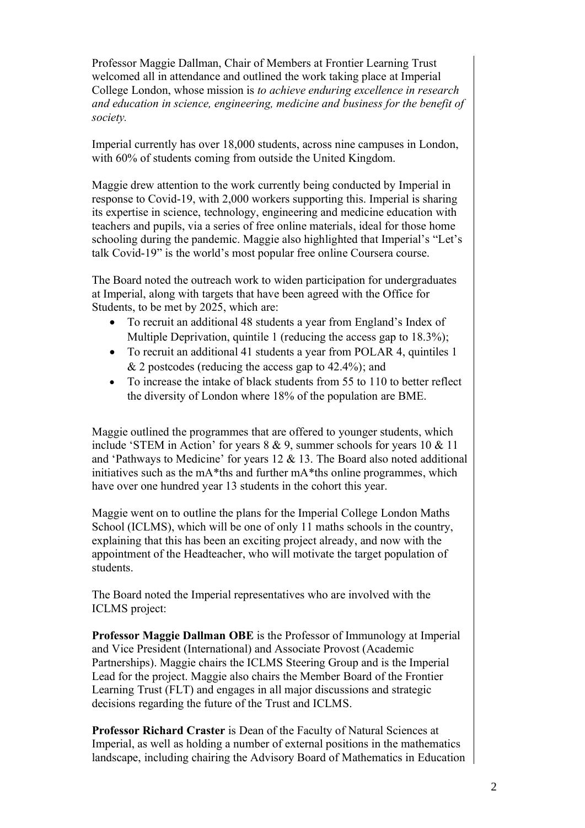Professor Maggie Dallman, Chair of Members at Frontier Learning Trust welcomed all in attendance and outlined the work taking place at Imperial College London, whose mission is *to achieve enduring excellence in research and education in science, engineering, medicine and business for the benefit of society.*

Imperial currently has over 18,000 students, across nine campuses in London, with 60% of students coming from outside the United Kingdom.

Maggie drew attention to the work currently being conducted by Imperial in response to Covid-19, with 2,000 workers supporting this. Imperial is sharing its expertise in science, technology, engineering and medicine education with teachers and pupils, via a series of free online materials, ideal for those home schooling during the pandemic. Maggie also highlighted that Imperial's "Let's talk Covid-19" is the world's most popular free online Coursera course.

The Board noted the outreach work to widen participation for undergraduates at Imperial, along with targets that have been agreed with the Office for Students, to be met by 2025, which are:

- To recruit an additional 48 students a year from England's Index of Multiple Deprivation, quintile 1 (reducing the access gap to 18.3%);
- To recruit an additional 41 students a year from POLAR 4, quintiles 1 & 2 postcodes (reducing the access gap to 42.4%); and
- To increase the intake of black students from 55 to 110 to better reflect the diversity of London where 18% of the population are BME.

Maggie outlined the programmes that are offered to younger students, which include 'STEM in Action' for years 8 & 9, summer schools for years 10 & 11 and 'Pathways to Medicine' for years 12 & 13. The Board also noted additional initiatives such as the mA\*ths and further mA\*ths online programmes, which have over one hundred year 13 students in the cohort this year.

Maggie went on to outline the plans for the Imperial College London Maths School (ICLMS), which will be one of only 11 maths schools in the country, explaining that this has been an exciting project already, and now with the appointment of the Headteacher, who will motivate the target population of students.

The Board noted the Imperial representatives who are involved with the ICLMS project:

**Professor Maggie Dallman OBE** is the Professor of Immunology at Imperial and Vice President (International) and Associate Provost (Academic Partnerships). Maggie chairs the ICLMS Steering Group and is the Imperial Lead for the project. Maggie also chairs the Member Board of the Frontier Learning Trust (FLT) and engages in all major discussions and strategic decisions regarding the future of the Trust and ICLMS.

**Professor Richard Craster** is Dean of the Faculty of Natural Sciences at Imperial, as well as holding a number of external positions in the mathematics landscape, including chairing the Advisory Board of Mathematics in Education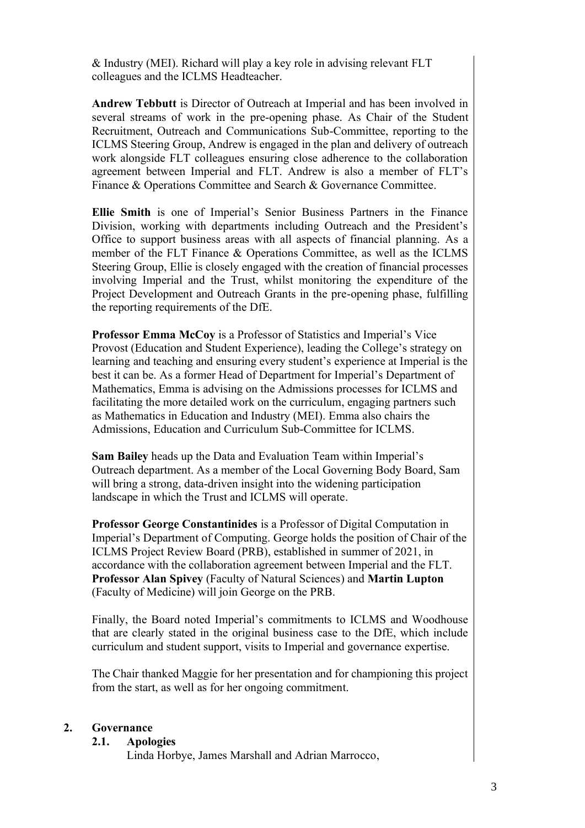& Industry (MEI). Richard will play a key role in advising relevant FLT colleagues and the ICLMS Headteacher.

**Andrew Tebbutt** is Director of Outreach at Imperial and has been involved in several streams of work in the pre-opening phase. As Chair of the Student Recruitment, Outreach and Communications Sub-Committee, reporting to the ICLMS Steering Group, Andrew is engaged in the plan and delivery of outreach work alongside FLT colleagues ensuring close adherence to the collaboration agreement between Imperial and FLT. Andrew is also a member of FLT's Finance & Operations Committee and Search & Governance Committee.

**Ellie Smith** is one of Imperial's Senior Business Partners in the Finance Division, working with departments including Outreach and the President's Office to support business areas with all aspects of financial planning. As a member of the FLT Finance & Operations Committee, as well as the ICLMS Steering Group, Ellie is closely engaged with the creation of financial processes involving Imperial and the Trust, whilst monitoring the expenditure of the Project Development and Outreach Grants in the pre-opening phase, fulfilling the reporting requirements of the DfE.

**Professor Emma McCoy** is a Professor of Statistics and Imperial's Vice Provost (Education and Student Experience), leading the College's strategy on learning and teaching and ensuring every student's experience at Imperial is the best it can be. As a former Head of Department for Imperial's Department of Mathematics, Emma is advising on the Admissions processes for ICLMS and facilitating the more detailed work on the curriculum, engaging partners such as Mathematics in Education and Industry (MEI). Emma also chairs the Admissions, Education and Curriculum Sub-Committee for ICLMS.

**Sam Bailey** heads up the Data and Evaluation Team within Imperial's Outreach department. As a member of the Local Governing Body Board, Sam will bring a strong, data-driven insight into the widening participation landscape in which the Trust and ICLMS will operate.

**Professor George Constantinides** is a Professor of Digital Computation in Imperial's Department of Computing. George holds the position of Chair of the ICLMS Project Review Board (PRB), established in summer of 2021, in accordance with the collaboration agreement between Imperial and the FLT. **Professor Alan Spivey** (Faculty of Natural Sciences) and **Martin Lupton** (Faculty of Medicine) will join George on the PRB.

Finally, the Board noted Imperial's commitments to ICLMS and Woodhouse that are clearly stated in the original business case to the DfE, which include curriculum and student support, visits to Imperial and governance expertise.

The Chair thanked Maggie for her presentation and for championing this project from the start, as well as for her ongoing commitment.

#### **2. Governance**

**2.1. Apologies**

Linda Horbye, James Marshall and Adrian Marrocco,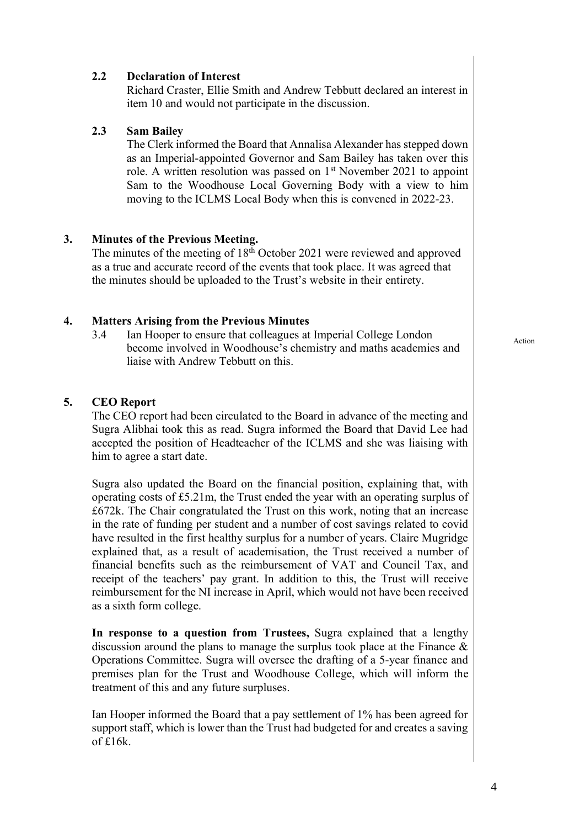### **2.2 Declaration of Interest**

Richard Craster, Ellie Smith and Andrew Tebbutt declared an interest in item 10 and would not participate in the discussion.

### **2.3 Sam Bailey**

The Clerk informed the Board that Annalisa Alexander has stepped down as an Imperial-appointed Governor and Sam Bailey has taken over this role. A written resolution was passed on  $1<sup>st</sup>$  November 2021 to appoint Sam to the Woodhouse Local Governing Body with a view to him moving to the ICLMS Local Body when this is convened in 2022-23.

### **3. Minutes of the Previous Meeting.**

The minutes of the meeting of 18<sup>th</sup> October 2021 were reviewed and approved as a true and accurate record of the events that took place. It was agreed that the minutes should be uploaded to the Trust's website in their entirety.

### **4. Matters Arising from the Previous Minutes**

3.4 Ian Hooper to ensure that colleagues at Imperial College London become involved in Woodhouse's chemistry and maths academies and liaise with Andrew Tebbutt on this.

#### **5. CEO Report**

The CEO report had been circulated to the Board in advance of the meeting and Sugra Alibhai took this as read. Sugra informed the Board that David Lee had accepted the position of Headteacher of the ICLMS and she was liaising with him to agree a start date.

Sugra also updated the Board on the financial position, explaining that, with operating costs of £5.21m, the Trust ended the year with an operating surplus of £672k. The Chair congratulated the Trust on this work, noting that an increase in the rate of funding per student and a number of cost savings related to covid have resulted in the first healthy surplus for a number of years. Claire Mugridge explained that, as a result of academisation, the Trust received a number of financial benefits such as the reimbursement of VAT and Council Tax, and receipt of the teachers' pay grant. In addition to this, the Trust will receive reimbursement for the NI increase in April, which would not have been received as a sixth form college.

**In response to a question from Trustees,** Sugra explained that a lengthy discussion around the plans to manage the surplus took place at the Finance & Operations Committee. Sugra will oversee the drafting of a 5-year finance and premises plan for the Trust and Woodhouse College, which will inform the treatment of this and any future surpluses.

Ian Hooper informed the Board that a pay settlement of 1% has been agreed for support staff, which is lower than the Trust had budgeted for and creates a saving of £16k.

Action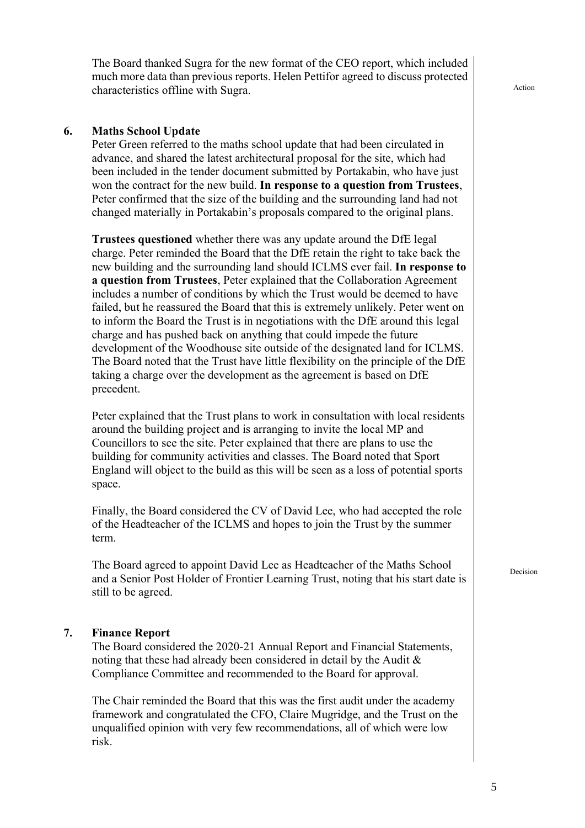The Board thanked Sugra for the new format of the CEO report, which included much more data than previous reports. Helen Pettifor agreed to discuss protected characteristics offline with Sugra.

#### **6. Maths School Update**

Peter Green referred to the maths school update that had been circulated in advance, and shared the latest architectural proposal for the site, which had been included in the tender document submitted by Portakabin, who have just won the contract for the new build. **In response to a question from Trustees**, Peter confirmed that the size of the building and the surrounding land had not changed materially in Portakabin's proposals compared to the original plans.

**Trustees questioned** whether there was any update around the DfE legal charge. Peter reminded the Board that the DfE retain the right to take back the new building and the surrounding land should ICLMS ever fail. **In response to a question from Trustees**, Peter explained that the Collaboration Agreement includes a number of conditions by which the Trust would be deemed to have failed, but he reassured the Board that this is extremely unlikely. Peter went on to inform the Board the Trust is in negotiations with the DfE around this legal charge and has pushed back on anything that could impede the future development of the Woodhouse site outside of the designated land for ICLMS. The Board noted that the Trust have little flexibility on the principle of the DfE taking a charge over the development as the agreement is based on DfE precedent.

Peter explained that the Trust plans to work in consultation with local residents around the building project and is arranging to invite the local MP and Councillors to see the site. Peter explained that there are plans to use the building for community activities and classes. The Board noted that Sport England will object to the build as this will be seen as a loss of potential sports space.

Finally, the Board considered the CV of David Lee, who had accepted the role of the Headteacher of the ICLMS and hopes to join the Trust by the summer term.

The Board agreed to appoint David Lee as Headteacher of the Maths School and a Senior Post Holder of Frontier Learning Trust, noting that his start date is still to be agreed.

#### **7. Finance Report**

The Board considered the 2020-21 Annual Report and Financial Statements, noting that these had already been considered in detail by the Audit & Compliance Committee and recommended to the Board for approval.

The Chair reminded the Board that this was the first audit under the academy framework and congratulated the CFO, Claire Mugridge, and the Trust on the unqualified opinion with very few recommendations, all of which were low risk.

Decision

Action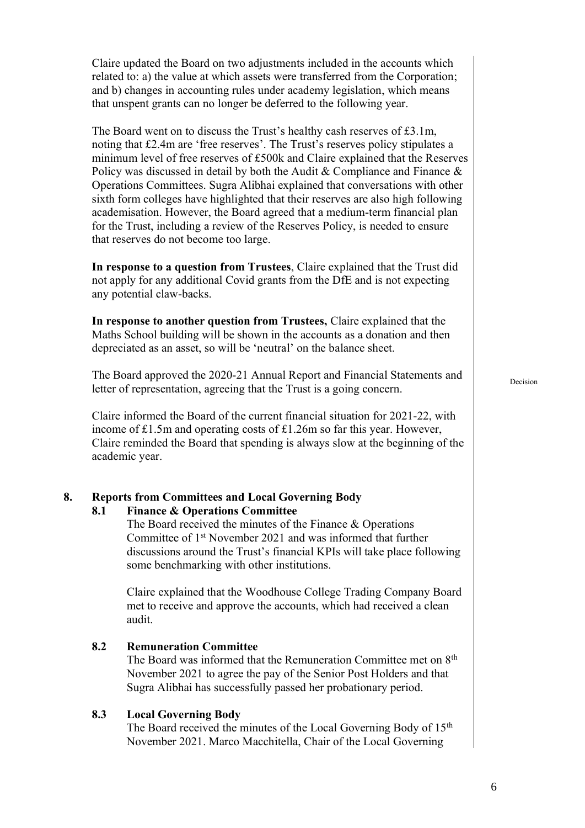Claire updated the Board on two adjustments included in the accounts which related to: a) the value at which assets were transferred from the Corporation; and b) changes in accounting rules under academy legislation, which means that unspent grants can no longer be deferred to the following year.

The Board went on to discuss the Trust's healthy cash reserves of £3.1m, noting that £2.4m are 'free reserves'. The Trust's reserves policy stipulates a minimum level of free reserves of £500k and Claire explained that the Reserves Policy was discussed in detail by both the Audit & Compliance and Finance & Operations Committees. Sugra Alibhai explained that conversations with other sixth form colleges have highlighted that their reserves are also high following academisation. However, the Board agreed that a medium-term financial plan for the Trust, including a review of the Reserves Policy, is needed to ensure that reserves do not become too large.

**In response to a question from Trustees**, Claire explained that the Trust did not apply for any additional Covid grants from the DfE and is not expecting any potential claw-backs.

**In response to another question from Trustees,** Claire explained that the Maths School building will be shown in the accounts as a donation and then depreciated as an asset, so will be 'neutral' on the balance sheet.

The Board approved the 2020-21 Annual Report and Financial Statements and letter of representation, agreeing that the Trust is a going concern.

Claire informed the Board of the current financial situation for 2021-22, with income of £1.5m and operating costs of £1.26m so far this year. However, Claire reminded the Board that spending is always slow at the beginning of the academic year.

#### **8. Reports from Committees and Local Governing Body**

#### **8.1 Finance & Operations Committee**

The Board received the minutes of the Finance & Operations Committee of 1st November 2021 and was informed that further discussions around the Trust's financial KPIs will take place following some benchmarking with other institutions.

Claire explained that the Woodhouse College Trading Company Board met to receive and approve the accounts, which had received a clean audit.

**8.2 Remuneration Committee** The Board was informed that the Remuneration Committee met on 8<sup>th</sup> November 2021 to agree the pay of the Senior Post Holders and that Sugra Alibhai has successfully passed her probationary period.

#### **8.3 Local Governing Body**

The Board received the minutes of the Local Governing Body of 15<sup>th</sup> November 2021. Marco Macchitella, Chair of the Local Governing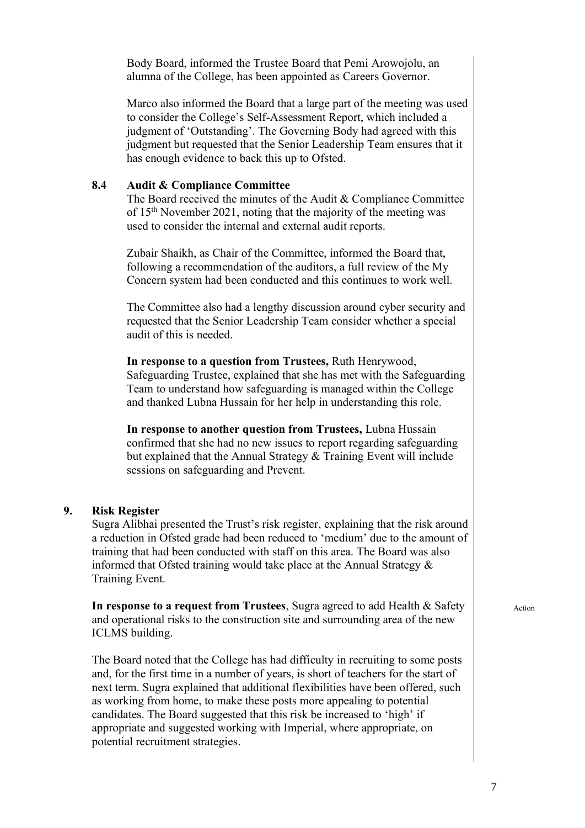Body Board, informed the Trustee Board that Pemi Arowojolu, an alumna of the College, has been appointed as Careers Governor.

Marco also informed the Board that a large part of the meeting was used to consider the College's Self-Assessment Report, which included a judgment of 'Outstanding'. The Governing Body had agreed with this judgment but requested that the Senior Leadership Team ensures that it has enough evidence to back this up to Ofsted.

#### **8.4 Audit & Compliance Committee**

The Board received the minutes of the Audit & Compliance Committee of 15th November 2021, noting that the majority of the meeting was used to consider the internal and external audit reports.

Zubair Shaikh, as Chair of the Committee, informed the Board that, following a recommendation of the auditors, a full review of the My Concern system had been conducted and this continues to work well.

The Committee also had a lengthy discussion around cyber security and requested that the Senior Leadership Team consider whether a special audit of this is needed.

**In response to a question from Trustees,** Ruth Henrywood, Safeguarding Trustee, explained that she has met with the Safeguarding Team to understand how safeguarding is managed within the College and thanked Lubna Hussain for her help in understanding this role.

**In response to another question from Trustees,** Lubna Hussain confirmed that she had no new issues to report regarding safeguarding but explained that the Annual Strategy & Training Event will include sessions on safeguarding and Prevent.

#### **9. Risk Register**

Sugra Alibhai presented the Trust's risk register, explaining that the risk around a reduction in Ofsted grade had been reduced to 'medium' due to the amount of training that had been conducted with staff on this area. The Board was also informed that Ofsted training would take place at the Annual Strategy & Training Event.

**In response to a request from Trustees**, Sugra agreed to add Health & Safety and operational risks to the construction site and surrounding area of the new ICLMS building.

The Board noted that the College has had difficulty in recruiting to some posts and, for the first time in a number of years, is short of teachers for the start of next term. Sugra explained that additional flexibilities have been offered, such as working from home, to make these posts more appealing to potential candidates. The Board suggested that this risk be increased to 'high' if appropriate and suggested working with Imperial, where appropriate, on potential recruitment strategies.

Action